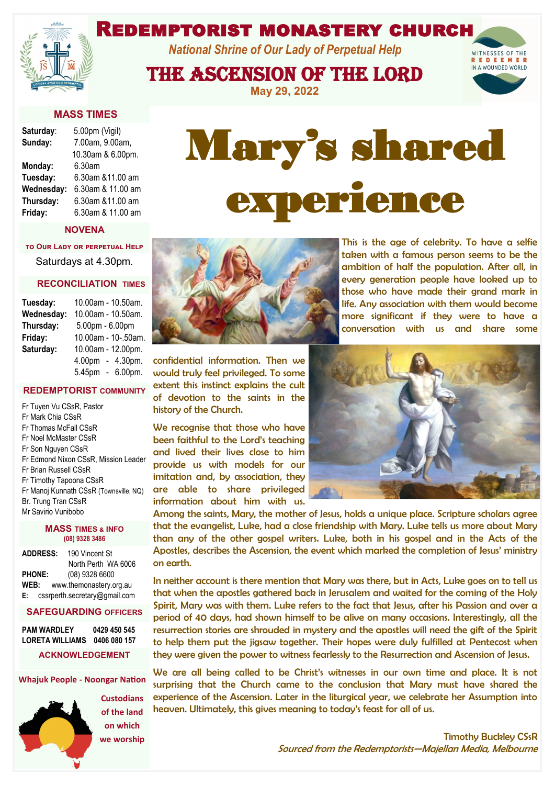# Redemptorist monastery church

*National Shrine of Our Lady of Perpetual Help*

The Ascension of the Lord

**May 29, 2022**

Mary's shared

experience



| Saturday:  | 5.00pm (Vigil)    |
|------------|-------------------|
| Sunday:    | 7.00am, 9.00am,   |
|            | 10.30am & 6.00pm. |
| Monday:    | 6.30am            |
| Tuesday:   | 6.30am &11.00 am  |
| Wednesday: | 6.30am & 11.00 am |
| Thursday:  | 6.30am &11.00 am  |
| Friday:    | 6.30am & 11.00 am |

#### **NOVENA**

**to Our Lady or perpetual Help**  Saturdays at 4.30pm.

#### **RECONCILIATION TIMES**

| Tuesday:   | 10.00am - 10.50am.  |
|------------|---------------------|
| Wednesday: | 10.00am - 10.50am.  |
| Thursday:  | 5.00pm - 6.00pm     |
| Friday:    | 10.00am - 10-.50am. |
| Saturday:  | 10.00am - 12.00pm.  |
|            | 4.00pm - 4.30pm.    |
|            | 5.45pm - 6.00pm.    |

#### **REDEMPTORIST COMMUNITY**

Fr Tuyen Vu CSsR, Pastor Fr Mark Chia CSsR Fr Thomas McFall CSsR Fr Noel McMaster CSsR Fr Son Nguyen CSsR Fr Edmond Nixon CSsR, Mission Leader Fr Brian Russell CSsR Fr Timothy Tapoona CSsR Fr Manoj Kunnath CSsR (Townsville, NQ) Br. Trung Tran CSsR Mr Savirio Vunibobo

#### **MASS TIMES & INFO (08) 9328 3486**

| <b>ADDRESS:</b> | 190 Vincent St                |
|-----------------|-------------------------------|
|                 | North Perth WA 6006           |
| <b>PHONE:</b>   | (08) 9328 6600                |
| WEB:            | www.themonastery.org.au       |
| E:              | cssrperth.secretary@gmail.com |

#### **SAFEGUARDING OFFICERS**

**PAM WARDLEY 0429 450 545 LORETA WILLIAMS 0406 080 157 ACKNOWLEDGEMENT**

#### **Whajuk People - Noongar Nation**



**Custodians of the land on which we worship** 



confidential information. Then we would truly feel privileged. To some extent this instinct explains the cult of devotion to the saints in the history of the Church.

We recognise that those who have been faithful to the Lord's teaching and lived their lives close to him provide us with models for our imitation and, by association, they are able to share privileged information about him with us.

This is the age of celebrity. To have a selfie taken with a famous person seems to be the ambition of half the population. After all, in every generation people have looked up to those who have made their grand mark in life. Any association with them would become more significant if they were to have a conversation with us and share some



Among the saints, Mary, the mother of Jesus, holds a unique place. Scripture scholars agree that the evangelist, Luke, had a close friendship with Mary. Luke tells us more about Mary than any of the other gospel writers. Luke, both in his gospel and in the Acts of the Apostles, describes the Ascension, the event which marked the completion of Jesus' ministry on earth.

In neither account is there mention that Mary was there, but in Acts, Luke goes on to tell us that when the apostles gathered back in Jerusalem and waited for the coming of the Holy Spirit, Mary was with them. Luke refers to the fact that Jesus, after his Passion and over a period of 40 days, had shown himself to be alive on many occasions. Interestingly, all the resurrection stories are shrouded in mystery and the apostles will need the gift of the Spirit to help them put the jigsaw together. Their hopes were duly fulfilled at Pentecost when they were given the power to witness fearlessly to the Resurrection and Ascension of Jesus.

We are all being called to be Christ's witnesses in our own time and place. It is not surprising that the Church came to the conclusion that Mary must have shared the experience of the Ascension. Later in the liturgical year, we celebrate her Assumption into heaven. Ultimately, this gives meaning to today's feast for all of us.